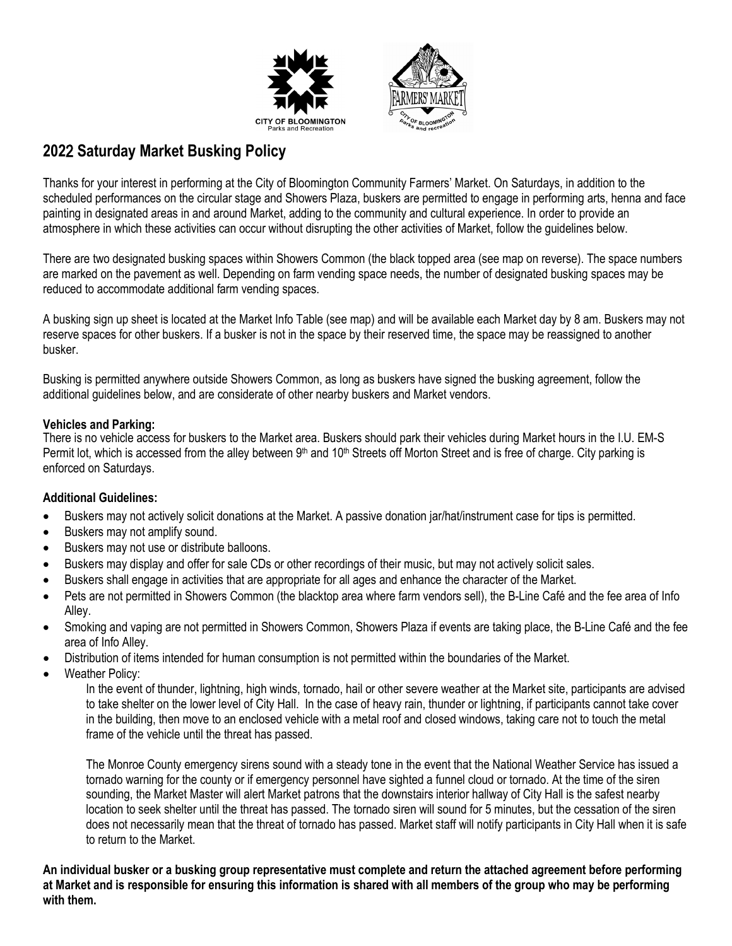



## **202**2 **Saturday Market Busking Policy**

Thanks for your interest in performing at the City of Bloomington Community Farmers' Market. On Saturdays, in addition to the scheduled performances on the circular stage and Showers Plaza, buskers are permitted to engage in performing arts, henna and face painting in designated areas in and around Market, adding to the community and cultural experience. In order to provide an atmosphere in which these activities can occur without disrupting the other activities of Market, follow the guidelines below.

There are two designated busking spaces within Showers Common (the black topped area (see map on reverse). The space numbers are marked on the pavement as well. Depending on farm vending space needs, the number of designated busking spaces may be reduced to accommodate additional farm vending spaces.

A busking sign up sheet is located at the Market Info Table (see map) and will be available each Market day by 8 am. Buskers may not reserve spaces for other buskers. If a busker is not in the space by their reserved time, the space may be reassigned to another busker.

Busking is permitted anywhere outside Showers Common, as long as buskers have signed the busking agreement, follow the additional guidelines below, and are considerate of other nearby buskers and Market vendors.

## **Vehicles and Parking:**

There is no vehicle access for buskers to the Market area. Buskers should park their vehicles during Market hours in the I.U. EM-S Permit lot, which is accessed from the alley between 9<sup>th</sup> and 10<sup>th</sup> Streets off Morton Street and is free of charge. City parking is enforced on Saturdays.

## **Additional Guidelines:**

- Buskers may not actively solicit donations at the Market. A passive donation jar/hat/instrument case for tips is permitted.
- Buskers may not amplify sound.
- Buskers may not use or distribute balloons.
- Buskers may display and offer for sale CDs or other recordings of their music, but may not actively solicit sales.
- Buskers shall engage in activities that are appropriate for all ages and enhance the character of the Market.
- Pets are not permitted in Showers Common (the blacktop area where farm vendors sell), the B-Line Café and the fee area of Info Alley.
- Smoking and vaping are not permitted in Showers Common, Showers Plaza if events are taking place, the B-Line Café and the fee area of Info Alley.
- Distribution of items intended for human consumption is not permitted within the boundaries of the Market.
- Weather Policy:

In the event of thunder, lightning, high winds, tornado, hail or other severe weather at the Market site, participants are advised to take shelter on the lower level of City Hall. In the case of heavy rain, thunder or lightning, if participants cannot take cover in the building, then move to an enclosed vehicle with a metal roof and closed windows, taking care not to touch the metal frame of the vehicle until the threat has passed.

The Monroe County emergency sirens sound with a steady tone in the event that the National Weather Service has issued a tornado warning for the county or if emergency personnel have sighted a funnel cloud or tornado. At the time of the siren sounding, the Market Master will alert Market patrons that the downstairs interior hallway of City Hall is the safest nearby location to seek shelter until the threat has passed. The tornado siren will sound for 5 minutes, but the cessation of the siren does not necessarily mean that the threat of tornado has passed. Market staff will notify participants in City Hall when it is safe to return to the Market.

**An individual busker or a busking group representative must complete and return the attached agreement before performing at Market and is responsible for ensuring this information is shared with all members of the group who may be performing with them.**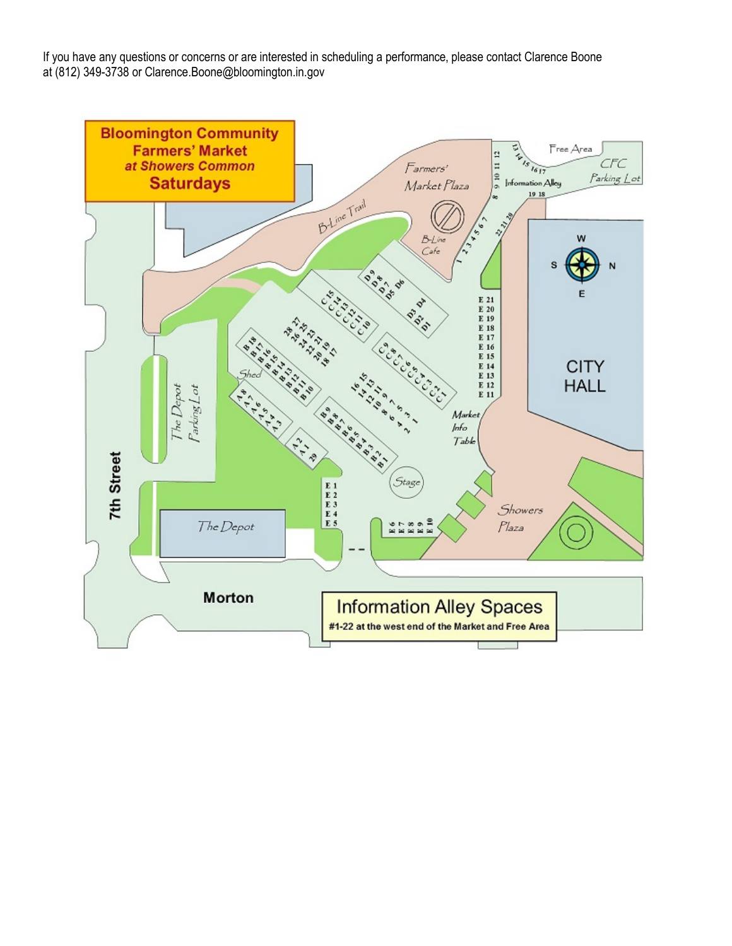If you have any questions or concerns or are interested in scheduling a performance, please contact Clarence Boone at (812) 349-3738 or Clarence.Boone@bloomington.in.gov